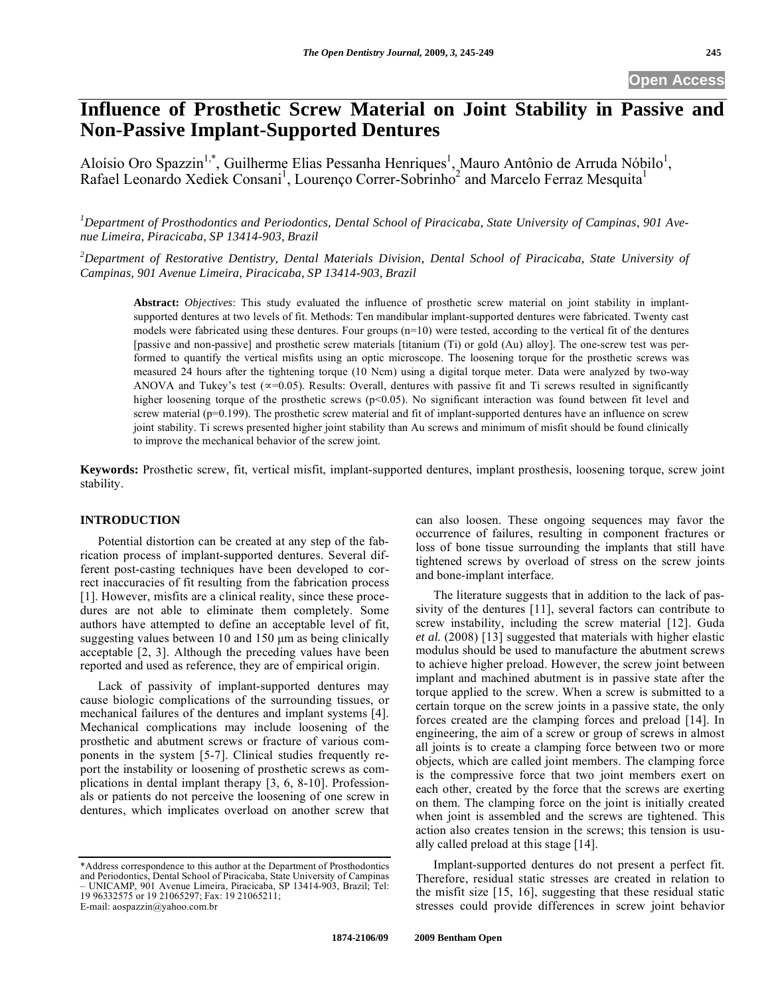# **Influence of Prosthetic Screw Material on Joint Stability in Passive and Non-Passive Implant-Supported Dentures**

Aloísio Oro Spazzin<sup>1,\*</sup>, Guilherme Elias Pessanha Henriques<sup>1</sup>, Mauro Antônio de Arruda Nóbilo<sup>1</sup>, Rafael Leonardo Xediek Consani<sup>1</sup>, Lourenço Correr-Sobrinho<sup>2</sup> and Marcelo Ferraz Mesquita<sup>1</sup>

*1 Department of Prosthodontics and Periodontics, Dental School of Piracicaba, State University of Campinas, 901 Avenue Limeira, Piracicaba, SP 13414-903, Brazil* 

*2 Department of Restorative Dentistry, Dental Materials Division, Dental School of Piracicaba, State University of Campinas, 901 Avenue Limeira, Piracicaba, SP 13414-903, Brazil* 

**Abstract:** *Objectives*: This study evaluated the influence of prosthetic screw material on joint stability in implantsupported dentures at two levels of fit. Methods: Ten mandibular implant-supported dentures were fabricated. Twenty cast models were fabricated using these dentures. Four groups (n=10) were tested, according to the vertical fit of the dentures [passive and non-passive] and prosthetic screw materials [titanium (Ti) or gold (Au) alloy]. The one-screw test was performed to quantify the vertical misfits using an optic microscope. The loosening torque for the prosthetic screws was measured 24 hours after the tightening torque (10 Ncm) using a digital torque meter. Data were analyzed by two-way ANOVA and Tukey's test  $(\infty = 0.05)$ . Results: Overall, dentures with passive fit and Ti screws resulted in significantly higher loosening torque of the prosthetic screws  $(p<0.05)$ . No significant interaction was found between fit level and screw material (p=0.199). The prosthetic screw material and fit of implant-supported dentures have an influence on screw joint stability. Ti screws presented higher joint stability than Au screws and minimum of misfit should be found clinically to improve the mechanical behavior of the screw joint.

**Keywords:** Prosthetic screw, fit, vertical misfit, implant-supported dentures, implant prosthesis, loosening torque, screw joint stability.

# **INTRODUCTION**

Potential distortion can be created at any step of the fabrication process of implant-supported dentures. Several different post-casting techniques have been developed to correct inaccuracies of fit resulting from the fabrication process [1]. However, misfits are a clinical reality, since these procedures are not able to eliminate them completely. Some authors have attempted to define an acceptable level of fit, suggesting values between 10 and 150 μm as being clinically acceptable [2, 3]. Although the preceding values have been reported and used as reference, they are of empirical origin.

Lack of passivity of implant-supported dentures may cause biologic complications of the surrounding tissues, or mechanical failures of the dentures and implant systems [4]. Mechanical complications may include loosening of the prosthetic and abutment screws or fracture of various components in the system [5-7]. Clinical studies frequently report the instability or loosening of prosthetic screws as complications in dental implant therapy [3, 6, 8-10]. Professionals or patients do not perceive the loosening of one screw in dentures, which implicates overload on another screw that can also loosen. These ongoing sequences may favor the occurrence of failures, resulting in component fractures or loss of bone tissue surrounding the implants that still have tightened screws by overload of stress on the screw joints and bone-implant interface.

The literature suggests that in addition to the lack of passivity of the dentures [11], several factors can contribute to screw instability, including the screw material [12]. Guda *et al.* (2008) [13] suggested that materials with higher elastic modulus should be used to manufacture the abutment screws to achieve higher preload. However, the screw joint between implant and machined abutment is in passive state after the torque applied to the screw. When a screw is submitted to a certain torque on the screw joints in a passive state, the only forces created are the clamping forces and preload [14]. In engineering, the aim of a screw or group of screws in almost all joints is to create a clamping force between two or more objects, which are called joint members. The clamping force is the compressive force that two joint members exert on each other, created by the force that the screws are exerting on them. The clamping force on the joint is initially created when joint is assembled and the screws are tightened. This action also creates tension in the screws; this tension is usually called preload at this stage [14].

Implant-supported dentures do not present a perfect fit. Therefore, residual static stresses are created in relation to the misfit size [15, 16], suggesting that these residual static stresses could provide differences in screw joint behavior

<sup>\*</sup>Address correspondence to this author at the Department of Prosthodontics and Periodontics, Dental School of Piracicaba, State University of Campinas – UNICAMP, 901 Avenue Limeira, Piracicaba, SP 13414-903, Brazil; Tel: 19 96332575 or 19 21065297; Fax: 19 21065211; E-mail: aospazzin@yahoo.com.br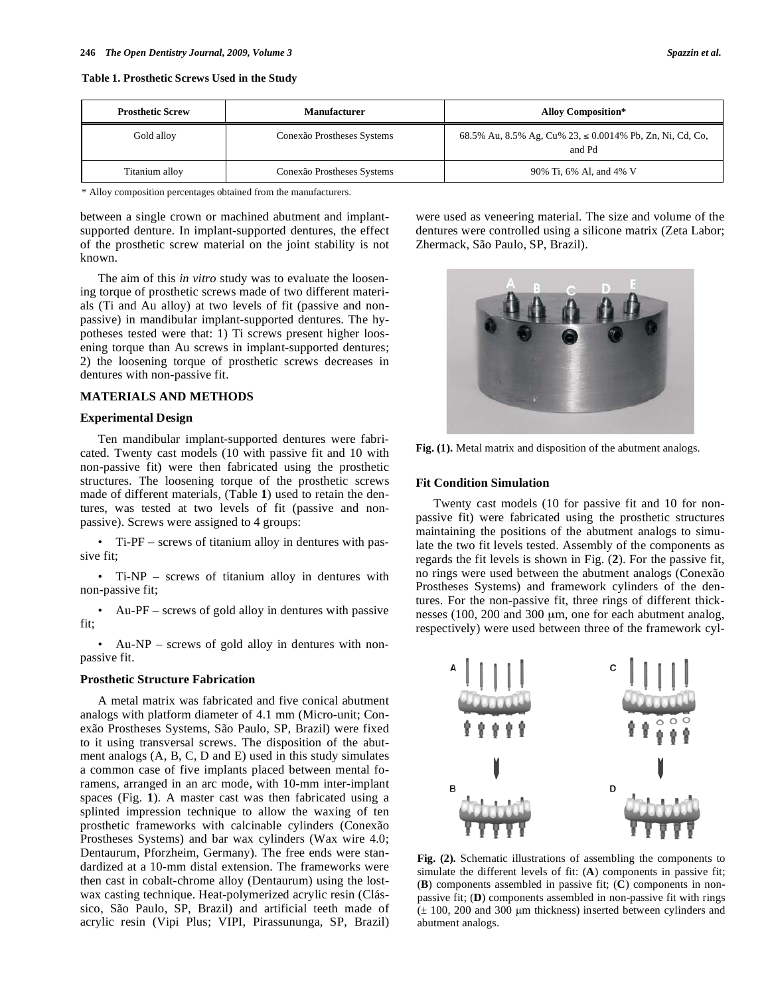**Table 1. Prosthetic Screws Used in the Study** 

| <b>Prosthetic Screw</b> | <b>Manufacturer</b>        | <b>Alloy Composition*</b>                                                |
|-------------------------|----------------------------|--------------------------------------------------------------------------|
| Gold alloy              | Conexão Prostheses Systems | 68.5% Au, 8.5% Ag, Cu% 23, $\leq 0.0014$ % Pb, Zn, Ni, Cd, Co,<br>and Pd |
| Titanium alloy          | Conexão Prostheses Systems | 90% Ti, 6% Al, and 4% V                                                  |

\* Alloy composition percentages obtained from the manufacturers.

between a single crown or machined abutment and implantsupported denture. In implant-supported dentures, the effect of the prosthetic screw material on the joint stability is not known.

The aim of this *in vitro* study was to evaluate the loosening torque of prosthetic screws made of two different materials (Ti and Au alloy) at two levels of fit (passive and nonpassive) in mandibular implant-supported dentures. The hypotheses tested were that: 1) Ti screws present higher loosening torque than Au screws in implant-supported dentures; 2) the loosening torque of prosthetic screws decreases in dentures with non-passive fit.

## **MATERIALS AND METHODS**

### **Experimental Design**

Ten mandibular implant-supported dentures were fabricated. Twenty cast models (10 with passive fit and 10 with non-passive fit) were then fabricated using the prosthetic structures. The loosening torque of the prosthetic screws made of different materials, (Table **1**) used to retain the dentures, was tested at two levels of fit (passive and nonpassive). Screws were assigned to 4 groups:

• Ti-PF – screws of titanium alloy in dentures with passive fit;

• Ti-NP – screws of titanium alloy in dentures with non-passive fit;

• Au-PF – screws of gold alloy in dentures with passive fit;

• Au-NP – screws of gold alloy in dentures with nonpassive fit.

#### **Prosthetic Structure Fabrication**

A metal matrix was fabricated and five conical abutment analogs with platform diameter of 4.1 mm (Micro-unit; Conexão Prostheses Systems, São Paulo, SP, Brazil) were fixed to it using transversal screws. The disposition of the abutment analogs (A, B, C, D and E) used in this study simulates a common case of five implants placed between mental foramens, arranged in an arc mode, with 10-mm inter-implant spaces (Fig. **1**). A master cast was then fabricated using a splinted impression technique to allow the waxing of ten prosthetic frameworks with calcinable cylinders (Conexão Prostheses Systems) and bar wax cylinders (Wax wire 4.0; Dentaurum, Pforzheim, Germany). The free ends were standardized at a 10-mm distal extension. The frameworks were then cast in cobalt-chrome alloy (Dentaurum) using the lostwax casting technique. Heat-polymerized acrylic resin (Clássico, São Paulo, SP, Brazil) and artificial teeth made of acrylic resin (Vipi Plus; VIPI, Pirassununga, SP, Brazil)

were used as veneering material. The size and volume of the dentures were controlled using a silicone matrix (Zeta Labor; Zhermack, São Paulo, SP, Brazil).



**Fig. (1).** Metal matrix and disposition of the abutment analogs.

## **Fit Condition Simulation**

Twenty cast models (10 for passive fit and 10 for nonpassive fit) were fabricated using the prosthetic structures maintaining the positions of the abutment analogs to simulate the two fit levels tested. Assembly of the components as regards the fit levels is shown in Fig. (**2**). For the passive fit, no rings were used between the abutment analogs (Conexão Prostheses Systems) and framework cylinders of the dentures. For the non-passive fit, three rings of different thicknesses (100, 200 and 300 μm, one for each abutment analog, respectively) were used between three of the framework cyl-



**Fig. (2).** Schematic illustrations of assembling the components to simulate the different levels of fit: (**A**) components in passive fit; (**B**) components assembled in passive fit; (**C**) components in nonpassive fit; (**D**) components assembled in non-passive fit with rings  $(\pm 100, 200$  and 300 µm thickness) inserted between cylinders and abutment analogs.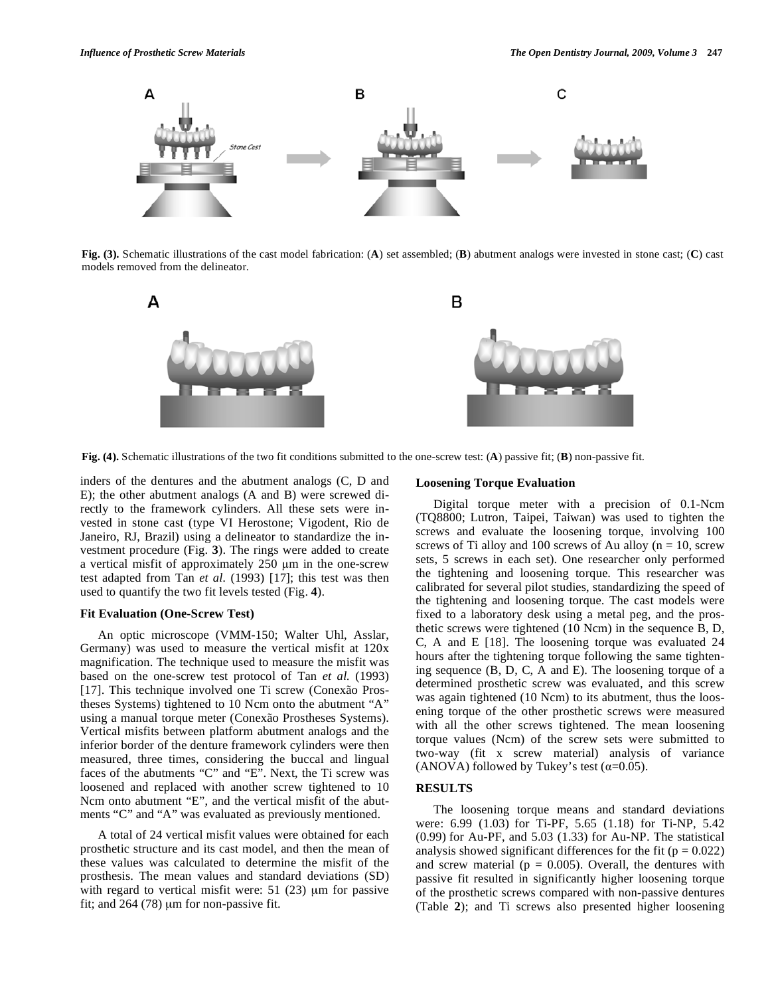

**Fig. (3).** Schematic illustrations of the cast model fabrication: (**A**) set assembled; (**B**) abutment analogs were invested in stone cast; (**C**) cast models removed from the delineator.



**Fig. (4).** Schematic illustrations of the two fit conditions submitted to the one-screw test: (**A**) passive fit; (**B**) non-passive fit.

inders of the dentures and the abutment analogs (C, D and E); the other abutment analogs (A and B) were screwed directly to the framework cylinders. All these sets were invested in stone cast (type VI Herostone; Vigodent, Rio de Janeiro, RJ, Brazil) using a delineator to standardize the investment procedure (Fig. **3**). The rings were added to create a vertical misfit of approximately  $250 \mu m$  in the one-screw test adapted from Tan *et al.* (1993) [17]; this test was then used to quantify the two fit levels tested (Fig. **4**).

# **Fit Evaluation (One-Screw Test)**

An optic microscope (VMM-150; Walter Uhl, Asslar, Germany) was used to measure the vertical misfit at 120x magnification. The technique used to measure the misfit was based on the one-screw test protocol of Tan *et al.* (1993) [17]. This technique involved one Ti screw (Conexão Prostheses Systems) tightened to 10 Ncm onto the abutment "A" using a manual torque meter (Conexão Prostheses Systems). Vertical misfits between platform abutment analogs and the inferior border of the denture framework cylinders were then measured, three times, considering the buccal and lingual faces of the abutments "C" and "E". Next, the Ti screw was loosened and replaced with another screw tightened to 10 Ncm onto abutment "E", and the vertical misfit of the abutments "C" and "A" was evaluated as previously mentioned.

A total of 24 vertical misfit values were obtained for each prosthetic structure and its cast model, and then the mean of these values was calculated to determine the misfit of the prosthesis. The mean values and standard deviations (SD) with regard to vertical misfit were: 51 (23) μm for passive fit; and 264 (78) μm for non-passive fit.

## **Loosening Torque Evaluation**

Digital torque meter with a precision of 0.1-Ncm (TQ8800; Lutron, Taipei, Taiwan) was used to tighten the screws and evaluate the loosening torque, involving 100 screws of Ti alloy and 100 screws of Au alloy ( $n = 10$ , screw sets, 5 screws in each set). One researcher only performed the tightening and loosening torque. This researcher was calibrated for several pilot studies, standardizing the speed of the tightening and loosening torque. The cast models were fixed to a laboratory desk using a metal peg, and the prosthetic screws were tightened (10 Ncm) in the sequence B, D, C, A and E [18]. The loosening torque was evaluated 24 hours after the tightening torque following the same tightening sequence (B, D, C, A and E). The loosening torque of a determined prosthetic screw was evaluated, and this screw was again tightened (10 Ncm) to its abutment, thus the loosening torque of the other prosthetic screws were measured with all the other screws tightened. The mean loosening torque values (Ncm) of the screw sets were submitted to two-way (fit x screw material) analysis of variance (ANOVA) followed by Tukey's test  $(\alpha=0.05)$ .

# **RESULTS**

The loosening torque means and standard deviations were: 6.99 (1.03) for Ti-PF, 5.65 (1.18) for Ti-NP, 5.42 (0.99) for Au-PF, and 5.03 (1.33) for Au-NP. The statistical analysis showed significant differences for the fit ( $p = 0.022$ ) and screw material ( $p = 0.005$ ). Overall, the dentures with passive fit resulted in significantly higher loosening torque of the prosthetic screws compared with non-passive dentures (Table **2**); and Ti screws also presented higher loosening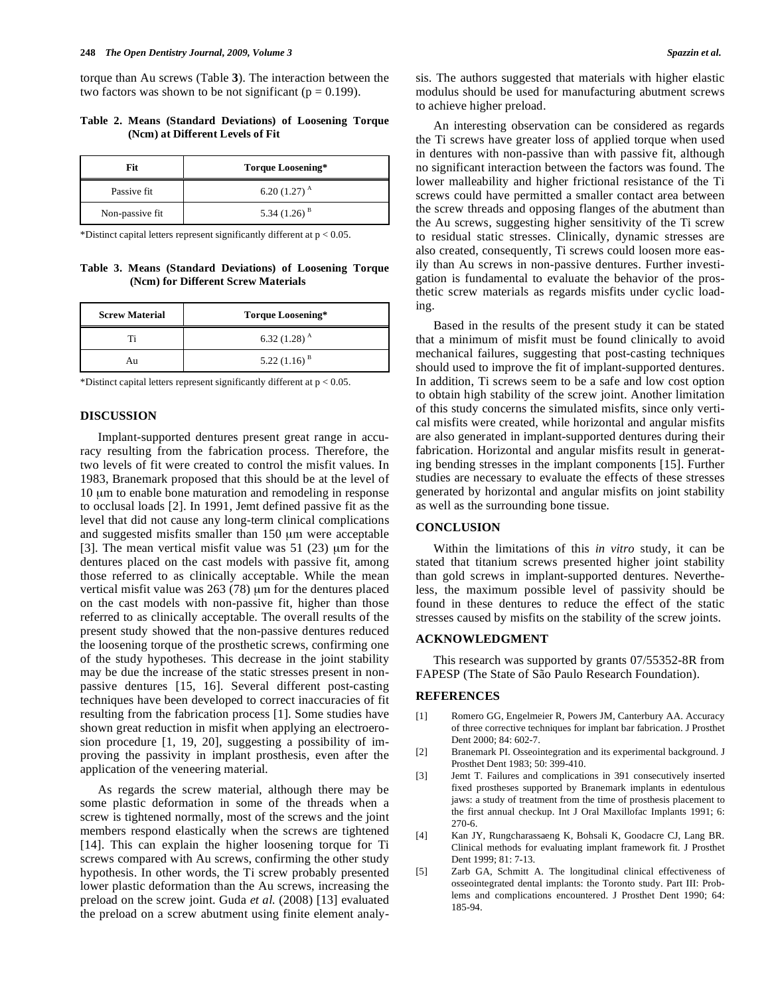torque than Au screws (Table **3**). The interaction between the two factors was shown to be not significant ( $p = 0.199$ ).

# **Table 2. Means (Standard Deviations) of Loosening Torque (Ncm) at Different Levels of Fit**

| Fit             | <b>Torque Loosening*</b> |
|-----------------|--------------------------|
| Passive fit.    | 6.20 $(1.27)^A$          |
| Non-passive fit | 5.34 $(1.26)^B$          |

\*Distinct capital letters represent significantly different at  $p < 0.05$ .

## **Table 3. Means (Standard Deviations) of Loosening Torque (Ncm) for Different Screw Materials**

| <b>Screw Material</b> | Torque Loosening*          |
|-----------------------|----------------------------|
| тï                    | 6.32 $(1.28)$ <sup>A</sup> |
| Au                    | $5.22(1.16)^{B}$           |

\*Distinct capital letters represent significantly different at  $p < 0.05$ .

# **DISCUSSION**

Implant-supported dentures present great range in accuracy resulting from the fabrication process. Therefore, the two levels of fit were created to control the misfit values. In 1983, Branemark proposed that this should be at the level of 10 μm to enable bone maturation and remodeling in response to occlusal loads [2]. In 1991, Jemt defined passive fit as the level that did not cause any long-term clinical complications and suggested misfits smaller than 150 μm were acceptable [3]. The mean vertical misfit value was 51 (23) μm for the dentures placed on the cast models with passive fit, among those referred to as clinically acceptable. While the mean vertical misfit value was 263 (78) μm for the dentures placed on the cast models with non-passive fit, higher than those referred to as clinically acceptable. The overall results of the present study showed that the non-passive dentures reduced the loosening torque of the prosthetic screws, confirming one of the study hypotheses. This decrease in the joint stability may be due the increase of the static stresses present in nonpassive dentures [15, 16]. Several different post-casting techniques have been developed to correct inaccuracies of fit resulting from the fabrication process [1]. Some studies have shown great reduction in misfit when applying an electroerosion procedure [1, 19, 20], suggesting a possibility of improving the passivity in implant prosthesis, even after the application of the veneering material.

As regards the screw material, although there may be some plastic deformation in some of the threads when a screw is tightened normally, most of the screws and the joint members respond elastically when the screws are tightened [14]. This can explain the higher loosening torque for Ti screws compared with Au screws, confirming the other study hypothesis. In other words, the Ti screw probably presented lower plastic deformation than the Au screws, increasing the preload on the screw joint. Guda *et al.* (2008) [13] evaluated the preload on a screw abutment using finite element analysis. The authors suggested that materials with higher elastic modulus should be used for manufacturing abutment screws to achieve higher preload.

An interesting observation can be considered as regards the Ti screws have greater loss of applied torque when used in dentures with non-passive than with passive fit, although no significant interaction between the factors was found. The lower malleability and higher frictional resistance of the Ti screws could have permitted a smaller contact area between the screw threads and opposing flanges of the abutment than the Au screws, suggesting higher sensitivity of the Ti screw to residual static stresses. Clinically, dynamic stresses are also created, consequently, Ti screws could loosen more easily than Au screws in non-passive dentures. Further investigation is fundamental to evaluate the behavior of the prosthetic screw materials as regards misfits under cyclic loading.

Based in the results of the present study it can be stated that a minimum of misfit must be found clinically to avoid mechanical failures, suggesting that post-casting techniques should used to improve the fit of implant-supported dentures. In addition, Ti screws seem to be a safe and low cost option to obtain high stability of the screw joint. Another limitation of this study concerns the simulated misfits, since only vertical misfits were created, while horizontal and angular misfits are also generated in implant-supported dentures during their fabrication. Horizontal and angular misfits result in generating bending stresses in the implant components [15]. Further studies are necessary to evaluate the effects of these stresses generated by horizontal and angular misfits on joint stability as well as the surrounding bone tissue.

## **CONCLUSION**

Within the limitations of this *in vitro* study*,* it can be stated that titanium screws presented higher joint stability than gold screws in implant-supported dentures. Nevertheless, the maximum possible level of passivity should be found in these dentures to reduce the effect of the static stresses caused by misfits on the stability of the screw joints.

#### **ACKNOWLEDGMENT**

This research was supported by grants 07/55352-8R from FAPESP (The State of São Paulo Research Foundation).

### **REFERENCES**

- [1] Romero GG, Engelmeier R, Powers JM, Canterbury AA. Accuracy of three corrective techniques for implant bar fabrication. J Prosthet Dent 2000; 84: 602-7.
- [2] Branemark PI. Osseointegration and its experimental background. J Prosthet Dent 1983; 50: 399-410.
- [3] Jemt T. Failures and complications in 391 consecutively inserted fixed prostheses supported by Branemark implants in edentulous jaws: a study of treatment from the time of prosthesis placement to the first annual checkup. Int J Oral Maxillofac Implants 1991; 6: 270-6.
- [4] Kan JY, Rungcharassaeng K, Bohsali K, Goodacre CJ, Lang BR. Clinical methods for evaluating implant framework fit. J Prosthet Dent 1999; 81: 7-13.
- [5] Zarb GA, Schmitt A. The longitudinal clinical effectiveness of osseointegrated dental implants: the Toronto study. Part III: Problems and complications encountered. J Prosthet Dent 1990; 64: 185-94.